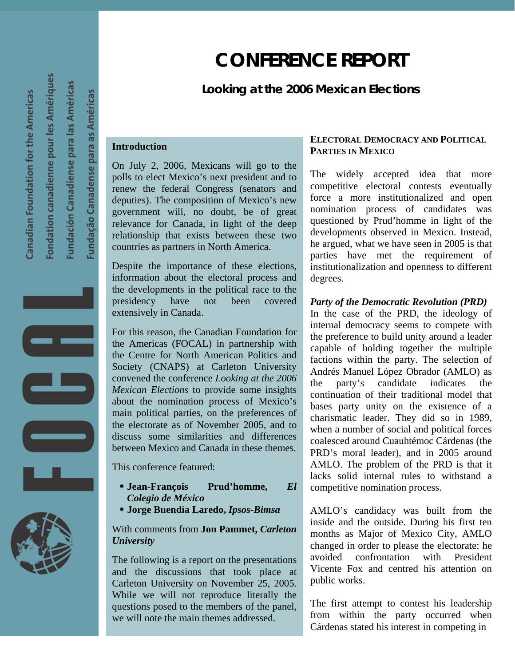# **CONFERENCE REPORT**

## *Looking at the 2006 Mexican Elections*

#### **Introduction**

On July 2, 2006, Mexicans will go to the polls to elect Mexico's next president and to renew the federal Congress (senators and deputies). The composition of Mexico's new government will, no doubt, be of great relevance for Canada, in light of the deep relationship that exists between these two countries as partners in North America.

Despite the importance of these elections, information about the electoral process and the developments in the political race to the presidency have not been covered extensively in Canada.

For this reason, the Canadian Foundation for the Americas (FOCAL) in partnership with the Centre for North American Politics and Society (CNAPS) at Carleton University convened the conference *Looking at the 2006 Mexican Elections* to provide some insights about the nomination process of Mexico's main political parties, on the preferences of the electorate as of November 2005, and to discuss some similarities and differences between Mexico and Canada in these themes.

This conference featured:

- **Jean-François Prud'homme,** *El Colegio de México*
- **Jorge Buendía Laredo,** *Ipsos-Bimsa*

### With comments from **Jon Pammet,** *Carleton University*

The following is a report on the presentations and the discussions that took place at Carleton University on November 25, 2005. While we will not reproduce literally the questions posed to the members of the panel, we will note the main themes addressed.

#### **ELECTORAL DEMOCRACY AND POLITICAL PARTIES IN MEXICO**

The widely accepted idea that more competitive electoral contests eventually force a more institutionalized and open nomination process of candidates was questioned by Prud'homme in light of the developments observed in Mexico. Instead, he argued, what we have seen in 2005 is that parties have met the requirement of institutionalization and openness to different degrees.

#### *Party of the Democratic Revolution (PRD)*

In the case of the PRD, the ideology of internal democracy seems to compete with the preference to build unity around a leader capable of holding together the multiple factions within the party. The selection of Andrés Manuel López Obrador (AMLO) as the party's candidate indicates the continuation of their traditional model that bases party unity on the existence of a charismatic leader. They did so in 1989, when a number of social and political forces coalesced around Cuauhtémoc Cárdenas (the PRD's moral leader), and in 2005 around AMLO. The problem of the PRD is that it lacks solid internal rules to withstand a competitive nomination process.

AMLO's candidacy was built from the inside and the outside. During his first ten months as Major of Mexico City, AMLO changed in order to please the electorate: he avoided confrontation with President Vicente Fox and centred his attention on public works.

The first attempt to contest his leadership from within the party occurred when Cárdenas stated his interest in competing in



ondation canadienne pour les Amériques

Canadian Foundation for the Americas

undación Canadiense para las Américas

undação Canadense para as Américas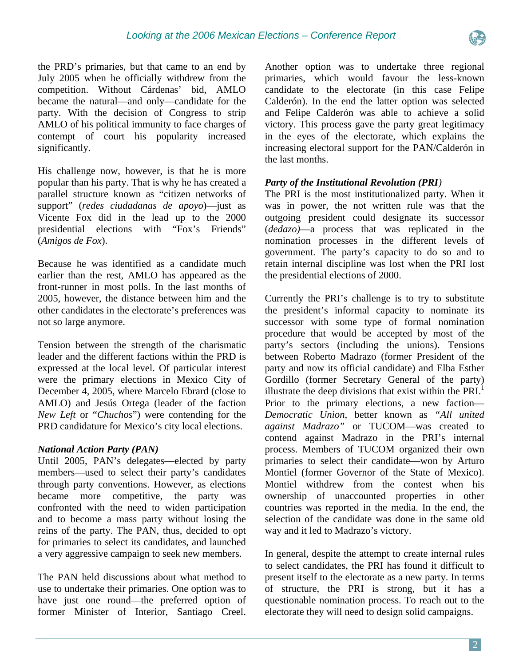

the PRD's primaries, but that came to an end by July 2005 when he officially withdrew from the competition. Without Cárdenas' bid, AMLO became the natural—and only—candidate for the party. With the decision of Congress to strip AMLO of his political immunity to face charges of contempt of court his popularity increased significantly.

His challenge now, however, is that he is more popular than his party. That is why he has created a parallel structure known as "citizen networks of support" (*redes ciudadanas de apoyo*)—just as Vicente Fox did in the lead up to the 2000 presidential elections with "Fox's Friends" (*Amigos de Fox*).

Because he was identified as a candidate much earlier than the rest, AMLO has appeared as the front-runner in most polls. In the last months of 2005, however, the distance between him and the other candidates in the electorate's preferences was not so large anymore.

Tension between the strength of the charismatic leader and the different factions within the PRD is expressed at the local level. Of particular interest were the primary elections in Mexico City of December 4, 2005, where Marcelo Ebrard (close to AMLO) and Jesús Ortega (leader of the faction *New Left* or "*Chuchos*") were contending for the PRD candidature for Mexico's city local elections.

## *National Action Party (PAN)*

Until 2005, PAN's delegates—elected by party members—used to select their party's candidates through party conventions. However, as elections became more competitive, the party was confronted with the need to widen participation and to become a mass party without losing the reins of the party. The PAN, thus, decided to opt for primaries to select its candidates, and launched a very aggressive campaign to seek new members.

The PAN held discussions about what method to use to undertake their primaries. One option was to have just one round—the preferred option of former Minister of Interior, Santiago Creel.

Another option was to undertake three regional primaries, which would favour the less-known candidate to the electorate (in this case Felipe Calderón). In the end the latter option was selected and Felipe Calderón was able to achieve a solid victory. This process gave the party great legitimacy in the eyes of the electorate, which explains the increasing electoral support for the PAN/Calderón in the last months.

## *Party of the Institutional Revolution (PRI)*

The PRI is the most institutionalized party. When it was in power, the not written rule was that the outgoing president could designate its successor (*dedazo)*—a process that was replicated in the nomination processes in the different levels of government. The party's capacity to do so and to retain internal discipline was lost when the PRI lost the presidential elections of 2000.

Currently the PRI's challenge is to try to substitute the president's informal capacity to nominate its successor with some type of formal nomination procedure that would be accepted by most of the party's sectors (including the unions). Tensions between Roberto Madrazo (former President of the party and now its official candidate) and Elba Esther Gordillo (former Secretary General of the party) illustrate the deep divisions that exist within the  $PRI<sup>1</sup>$  $PRI<sup>1</sup>$  $PRI<sup>1</sup>$ . Prior to the primary elections, a new faction— *Democratic Union*, better known as *"All united against Madrazo"* or TUCOM—was created to contend against Madrazo in the PRI's internal process. Members of TUCOM organized their own primaries to select their candidate—won by Arturo Montiel (former Governor of the State of Mexico). Montiel withdrew from the contest when his ownership of unaccounted properties in other countries was reported in the media. In the end, the selection of the candidate was done in the same old way and it led to Madrazo's victory.

In general, despite the attempt to create internal rules to select candidates, the PRI has found it difficult to present itself to the electorate as a new party. In terms of structure, the PRI is strong, but it has a questionable nomination process. To reach out to the electorate they will need to design solid campaigns.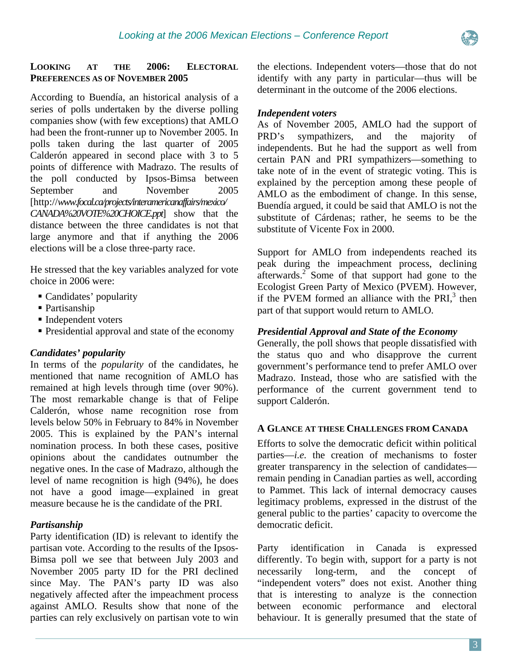

#### **LOOKING AT THE 2006: ELECTORAL PREFERENCES AS OF NOVEMBER 2005**

According to Buendía, an historical analysis of a series of polls undertaken by the diverse polling companies show (with few exceptions) that AMLO had been the front-runner up to November 2005. In polls taken during the last quarter of 2005 Calderón appeared in second place with 3 to 5 points of difference with Madrazo. The results of the poll conducted by Ipsos-Bimsa between September and November 2005 [http://*www.focal.ca/projects/interamericanaffairs/mexico/ CANADA%20VOTE%20CHOICE.ppt*] show that the distance between the three candidates is not that large anymore and that if anything the 2006 elections will be a close three-party race.

He stressed that the key variables analyzed for vote choice in 2006 were:

- Candidates' popularity
- Partisanship
- Independent voters
- Presidential approval and state of the economy

## *Candidates' popularity*

In terms of the *popularity* of the candidates, he mentioned that name recognition of AMLO has remained at high levels through time (over 90%). The most remarkable change is that of Felipe Calderón, whose name recognition rose from levels below 50% in February to 84% in November 2005. This is explained by the PAN's internal nomination process. In both these cases, positive opinions about the candidates outnumber the negative ones. In the case of Madrazo, although the level of name recognition is high (94%), he does not have a good image—explained in great measure because he is the candidate of the PRI.

## *Partisanship*

Party identification (ID) is relevant to identify the partisan vote. According to the results of the Ipsos-Bimsa poll we see that between July 2003 and November 2005 party ID for the PRI declined since May. The PAN's party ID was also negatively affected after the impeachment process against AMLO. Results show that none of the parties can rely exclusively on partisan vote to win the elections. Independent voters—those that do not identify with any party in particular—thus will be determinant in the outcome of the 2006 elections.

#### *Independent voters*

As of November 2005, AMLO had the support of PRD's sympathizers, and the majority of independents. But he had the support as well from certain PAN and PRI sympathizers—something to take note of in the event of strategic voting. This is explained by the perception among these people of AMLO as the embodiment of change. In this sense, Buendía argued, it could be said that AMLO is not the substitute of Cárdenas; rather, he seems to be the substitute of Vicente Fox in 2000.

Support for AMLO from independents reached its peak during the impeachment process, declining afterwards.<sup>[2](#page-4-1)</sup> Some of that support had gone to the Ecologist Green Party of Mexico (PVEM). However, if t[he](#page-4-2) PVEM formed an alliance with the PRI $<sup>3</sup>$  then</sup> part of that support would return to AMLO.

### *Presidential Approval and State of the Economy*

Generally, the poll shows that people dissatisfied with the status quo and who disapprove the current government's performance tend to prefer AMLO over Madrazo. Instead, those who are satisfied with the performance of the current government tend to support Calderón.

#### **A GLANCE AT THESE CHALLENGES FROM CANADA**

Efforts to solve the democratic deficit within political parties—*i.e.* the creation of mechanisms to foster greater transparency in the selection of candidates remain pending in Canadian parties as well, according to Pammet. This lack of internal democracy causes legitimacy problems, expressed in the distrust of the general public to the parties' capacity to overcome the democratic deficit.

Party identification in Canada is expressed differently. To begin with, support for a party is not necessarily long-term, and the concept of "independent voters" does not exist. Another thing that is interesting to analyze is the connection between economic performance and electoral behaviour. It is generally presumed that the state of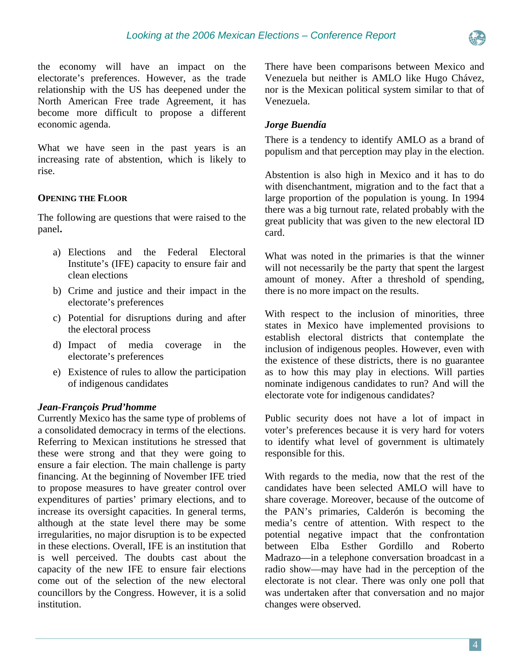the economy will have an impact on the electorate's preferences. However, as the trade relationship with the US has deepened under the North American Free trade Agreement, it has become more difficult to propose a different economic agenda.

What we have seen in the past years is an increasing rate of abstention, which is likely to rise.

#### **OPENING THE FLOOR**

The following are questions that were raised to the panel**.** 

- a) Elections and the Federal Electoral Institute's (IFE) capacity to ensure fair and clean elections
- b) Crime and justice and their impact in the electorate's preferences
- c) Potential for disruptions during and after the electoral process
- d) Impact of media coverage in the electorate's preferences
- e) Existence of rules to allow the participation of indigenous candidates

#### *Jean-François Prud'homme*

Currently Mexico has the same type of problems of a consolidated democracy in terms of the elections. Referring to Mexican institutions he stressed that these were strong and that they were going to ensure a fair election. The main challenge is party financing. At the beginning of November IFE tried to propose measures to have greater control over expenditures of parties' primary elections, and to increase its oversight capacities. In general terms, although at the state level there may be some irregularities, no major disruption is to be expected in these elections. Overall, IFE is an institution that is well perceived. The doubts cast about the capacity of the new IFE to ensure fair elections come out of the selection of the new electoral councillors by the Congress. However, it is a solid institution.

There have been comparisons between Mexico and Venezuela but neither is AMLO like Hugo Chávez, nor is the Mexican political system similar to that of Venezuela.

#### *Jorge Buendía*

There is a tendency to identify AMLO as a brand of populism and that perception may play in the election.

Abstention is also high in Mexico and it has to do with disenchantment, migration and to the fact that a large proportion of the population is young. In 1994 there was a big turnout rate, related probably with the great publicity that was given to the new electoral ID card.

What was noted in the primaries is that the winner will not necessarily be the party that spent the largest amount of money. After a threshold of spending, there is no more impact on the results.

With respect to the inclusion of minorities, three states in Mexico have implemented provisions to establish electoral districts that contemplate the inclusion of indigenous peoples. However, even with the existence of these districts, there is no guarantee as to how this may play in elections. Will parties nominate indigenous candidates to run? And will the electorate vote for indigenous candidates?

Public security does not have a lot of impact in voter's preferences because it is very hard for voters to identify what level of government is ultimately responsible for this.

With regards to the media, now that the rest of the candidates have been selected AMLO will have to share coverage. Moreover, because of the outcome of the PAN's primaries, Calderón is becoming the media's centre of attention. With respect to the potential negative impact that the confrontation between Elba Esther Gordillo and Roberto Madrazo—in a telephone conversation broadcast in a radio show—may have had in the perception of the electorate is not clear. There was only one poll that was undertaken after that conversation and no major changes were observed.